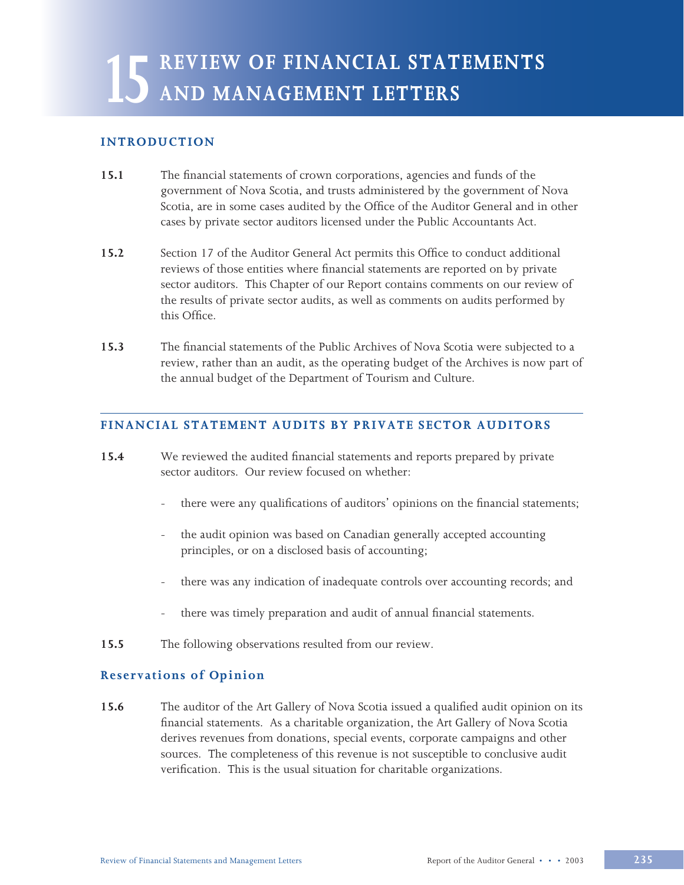# **15 REVIEW OF FINANCIAL STATEMENTS AND MANAGEMENT LETTERS**

### **INTRODUCTION**

- **15.1** The financial statements of crown corporations, agencies and funds of the government of Nova Scotia, and trusts administered by the government of Nova Scotia, are in some cases audited by the Office of the Auditor General and in other cases by private sector auditors licensed under the Public Accountants Act.
- **15.2** Section 17 of the Auditor General Act permits this Office to conduct additional reviews of those entities where financial statements are reported on by private sector auditors. This Chapter of our Report contains comments on our review of the results of private sector audits, as well as comments on audits performed by this Office.
- **15.3** The financial statements of the Public Archives of Nova Scotia were subjected to a review, rather than an audit, as the operating budget of the Archives is now part of the annual budget of the Department of Tourism and Culture.

# **FINANCIAL STATEMENT AUDITS BY PRIVATE SECTOR AUDITORS**

- **15.4** We reviewed the audited financial statements and reports prepared by private sector auditors. Our review focused on whether:
	- there were any qualifications of auditors' opinions on the financial statements;
	- the audit opinion was based on Canadian generally accepted accounting principles, or on a disclosed basis of accounting;
	- there was any indication of inadequate controls over accounting records; and
	- there was timely preparation and audit of annual financial statements.
- **15.5** The following observations resulted from our review.

#### **Reservations of Opinion**

**15.6** The auditor of the Art Gallery of Nova Scotia issued a qualified audit opinion on its financial statements. As a charitable organization, the Art Gallery of Nova Scotia derives revenues from donations, special events, corporate campaigns and other sources. The completeness of this revenue is not susceptible to conclusive audit verification. This is the usual situation for charitable organizations.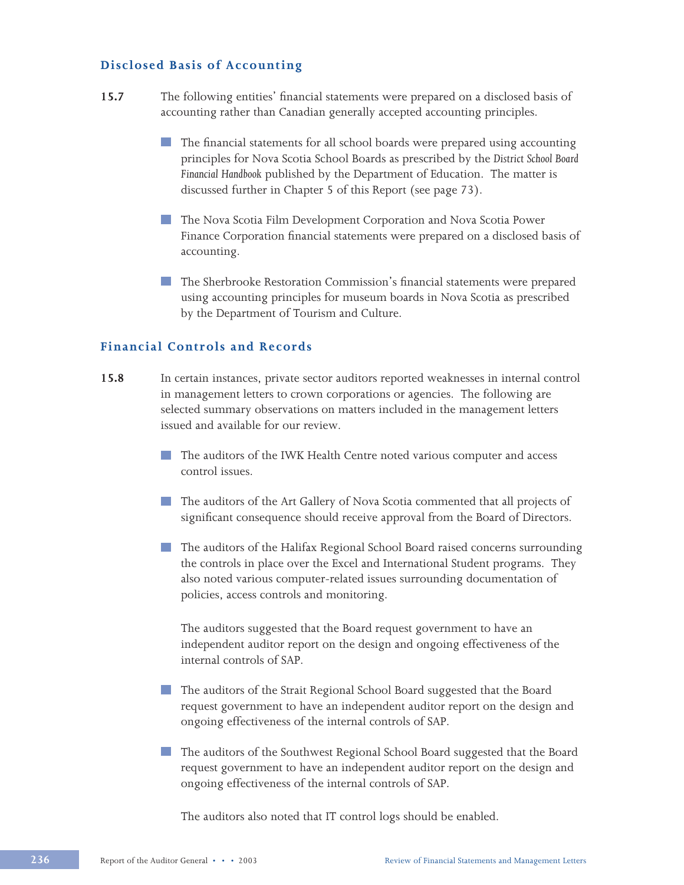#### **Disclosed Basis of Accounting**

- **15.7** The following entities' financial statements were prepared on a disclosed basis of accounting rather than Canadian generally accepted accounting principles.
	- The financial statements for all school boards were prepared using accounting principles for Nova Scotia School Boards as prescribed by the *District School Board Financial Handbook* published by the Department of Education. The matter is discussed further in Chapter 5 of this Report (see page 73).
	- **The Nova Scotia Film Development Corporation and Nova Scotia Power** Finance Corporation financial statements were prepared on a disclosed basis of accounting.
	- **The Sherbrooke Restoration Commission's financial statements were prepared** using accounting principles for museum boards in Nova Scotia as prescribed by the Department of Tourism and Culture.

#### **Financial Controls and Records**

- **15.8** In certain instances, private sector auditors reported weaknesses in internal control in management letters to crown corporations or agencies. The following are selected summary observations on matters included in the management letters issued and available for our review.
	- The auditors of the IWK Health Centre noted various computer and access control issues.
	- The auditors of the Art Gallery of Nova Scotia commented that all projects of significant consequence should receive approval from the Board of Directors.
	- The auditors of the Halifax Regional School Board raised concerns surrounding the controls in place over the Excel and International Student programs. They also noted various computer-related issues surrounding documentation of policies, access controls and monitoring.

The auditors suggested that the Board request government to have an independent auditor report on the design and ongoing effectiveness of the internal controls of SAP.

- The auditors of the Strait Regional School Board suggested that the Board request government to have an independent auditor report on the design and ongoing effectiveness of the internal controls of SAP.
- The auditors of the Southwest Regional School Board suggested that the Board request government to have an independent auditor report on the design and ongoing effectiveness of the internal controls of SAP.

The auditors also noted that IT control logs should be enabled.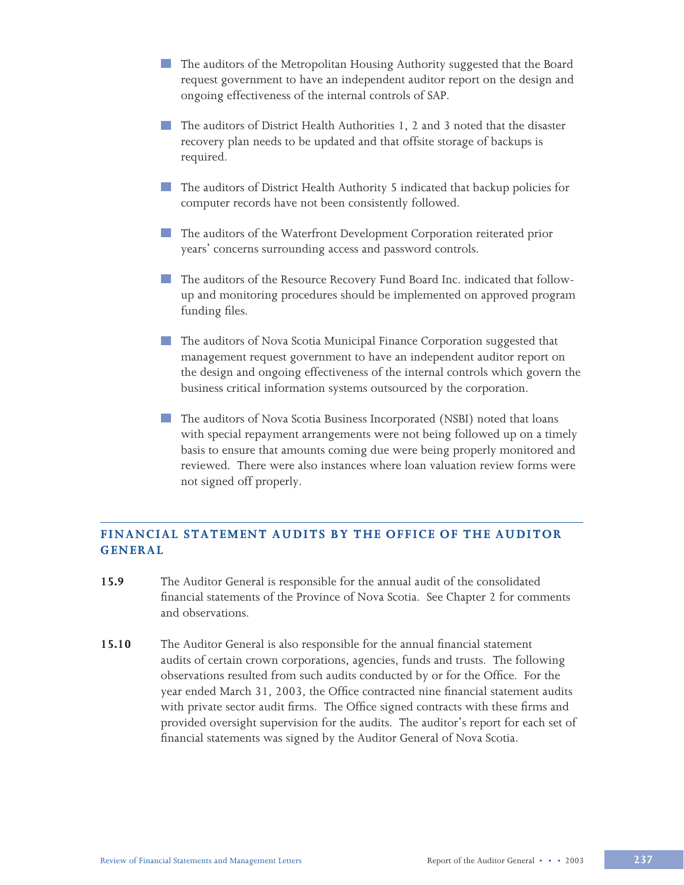- The auditors of the Metropolitan Housing Authority suggested that the Board request government to have an independent auditor report on the design and ongoing effectiveness of the internal controls of SAP.
- The auditors of District Health Authorities 1, 2 and 3 noted that the disaster recovery plan needs to be updated and that offsite storage of backups is required.
- The auditors of District Health Authority 5 indicated that backup policies for computer records have not been consistently followed.
- The auditors of the Waterfront Development Corporation reiterated prior years' concerns surrounding access and password controls.
- The auditors of the Resource Recovery Fund Board Inc. indicated that followup and monitoring procedures should be implemented on approved program funding files.
- **The auditors of Nova Scotia Municipal Finance Corporation suggested that** management request government to have an independent auditor report on the design and ongoing effectiveness of the internal controls which govern the business critical information systems outsourced by the corporation.
- **The auditors of Nova Scotia Business Incorporated (NSBI) noted that loans** with special repayment arrangements were not being followed up on a timely basis to ensure that amounts coming due were being properly monitored and reviewed. There were also instances where loan valuation review forms were not signed off properly.

# **FINANCIAL STATEMENT AUDITS BY THE OFFICE OF THE AUDITOR GENERAL**

- **15.9** The Auditor General is responsible for the annual audit of the consolidated financial statements of the Province of Nova Scotia. See Chapter 2 for comments and observations.
- **15.10** The Auditor General is also responsible for the annual financial statement audits of certain crown corporations, agencies, funds and trusts. The following observations resulted from such audits conducted by or for the Office. For the year ended March 31, 2003, the Office contracted nine financial statement audits with private sector audit firms. The Office signed contracts with these firms and provided oversight supervision for the audits. The auditor's report for each set of financial statements was signed by the Auditor General of Nova Scotia.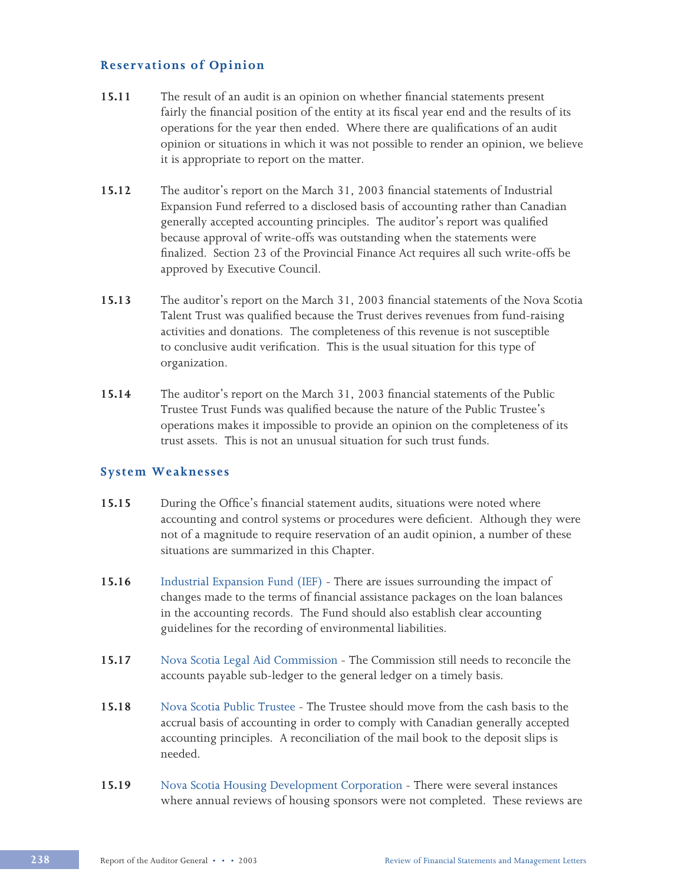# **Reservations of Opinion**

- **15.11** The result of an audit is an opinion on whether financial statements present fairly the financial position of the entity at its fiscal year end and the results of its operations for the year then ended. Where there are qualifications of an audit opinion or situations in which it was not possible to render an opinion, we believe it is appropriate to report on the matter.
- **15.12** The auditor's report on the March 31, 2003 financial statements of Industrial Expansion Fund referred to a disclosed basis of accounting rather than Canadian generally accepted accounting principles. The auditor's report was qualified because approval of write-offs was outstanding when the statements were finalized. Section 23 of the Provincial Finance Act requires all such write-offs be approved by Executive Council.
- **15.13** The auditor's report on the March 31, 2003 financial statements of the Nova Scotia Talent Trust was qualified because the Trust derives revenues from fund-raising activities and donations. The completeness of this revenue is not susceptible to conclusive audit verification. This is the usual situation for this type of organization.
- **15.14** The auditor's report on the March 31, 2003 financial statements of the Public Trustee Trust Funds was qualified because the nature of the Public Trustee's operations makes it impossible to provide an opinion on the completeness of its trust assets. This is not an unusual situation for such trust funds.

# **System Weaknesses**

- **15.15** During the Office's financial statement audits, situations were noted where accounting and control systems or procedures were deficient. Although they were not of a magnitude to require reservation of an audit opinion, a number of these situations are summarized in this Chapter.
- **15.16** Industrial Expansion Fund (IEF) There are issues surrounding the impact of changes made to the terms of financial assistance packages on the loan balances in the accounting records. The Fund should also establish clear accounting guidelines for the recording of environmental liabilities.
- **15.17** Nova Scotia Legal Aid Commission The Commission still needs to reconcile the accounts payable sub-ledger to the general ledger on a timely basis.
- **15.18** Nova Scotia Public Trustee The Trustee should move from the cash basis to the accrual basis of accounting in order to comply with Canadian generally accepted accounting principles. A reconciliation of the mail book to the deposit slips is needed.
- **15.19** Nova Scotia Housing Development Corporation There were several instances where annual reviews of housing sponsors were not completed. These reviews are